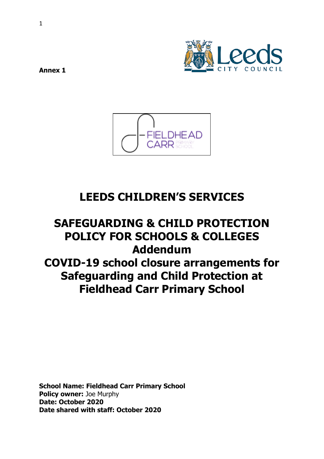

**Annex 1** 



# **LEEDS CHILDREN'S SERVICES**

# **SAFEGUARDING & CHILD PROTECTION POLICY FOR SCHOOLS & COLLEGES Addendum COVID-19 school closure arrangements for Safeguarding and Child Protection at Fieldhead Carr Primary School**

**School Name: Fieldhead Carr Primary School Policy owner:** Joe Murphy **Date: October 2020 Date shared with staff: October 2020**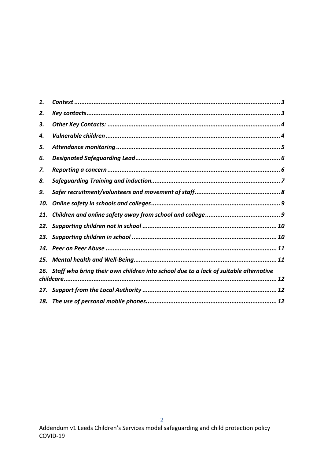| 1.  |                                                                                      |
|-----|--------------------------------------------------------------------------------------|
| 2.  |                                                                                      |
| З.  |                                                                                      |
| 4.  |                                                                                      |
| 5.  |                                                                                      |
| 6.  |                                                                                      |
| 7.  |                                                                                      |
| 8.  |                                                                                      |
| 9.  |                                                                                      |
| 10. |                                                                                      |
| 11. |                                                                                      |
| 12. |                                                                                      |
| 13. |                                                                                      |
| 14. |                                                                                      |
| 15. |                                                                                      |
| 16. | Staff who bring their own children into school due to a lack of suitable alternative |
| 17. |                                                                                      |
| 18. |                                                                                      |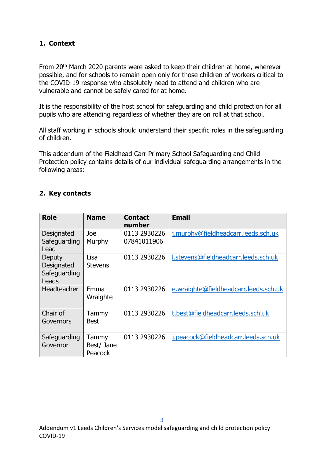## **1. Context**

From 20th March 2020 parents were asked to keep their children at home, wherever possible, and for schools to remain open only for those children of workers critical to the COVID-19 response who absolutely need to attend and children who are vulnerable and cannot be safely cared for at home.

It is the responsibility of the host school for safeguarding and child protection for all pupils who are attending regardless of whether they are on roll at that school.

All staff working in schools should understand their specific roles in the safeguarding of children.

This addendum of the Fieldhead Carr Primary School Safeguarding and Child Protection policy contains details of our individual safeguarding arrangements in the following areas:

#### **2. Key contacts**

| <b>Role</b>                                   | <b>Name</b>                    | <b>Contact</b><br>number    | <b>Email</b>                          |
|-----------------------------------------------|--------------------------------|-----------------------------|---------------------------------------|
| Designated<br>Safeguarding<br>Lead            | Joe<br>Murphy                  | 0113 2930226<br>07841011906 | j.murphy@fieldheadcarr.leeds.sch.uk   |
| Deputy<br>Designated<br>Safeguarding<br>Leads | Lisa<br><b>Stevens</b>         | 0113 2930226                | I.stevens@fieldheadcarr.leeds.sch.uk  |
| Headteacher                                   | Emma<br>Wraighte               | 0113 2930226                | e.wraighte@fieldheadcarr.leeds.sch.uk |
| Chair of<br>Governors                         | Tammy<br><b>Best</b>           | 0113 2930226                | t.best@fieldheadcarr.leeds.sch.uk     |
| Safeguarding<br>Governor                      | Tammy<br>Best/ Jane<br>Peacock | 0113 2930226                | j.peacock@fieldheadcarr.leeds.sch.uk  |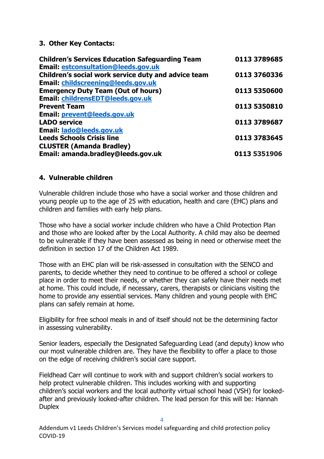#### **3. Other Key Contacts:**

| <b>Children's Services Education Safeguarding Team</b> | 0113 3789685 |
|--------------------------------------------------------|--------------|
| <b>Email: estconsultation@leeds.gov.uk</b>             |              |
| Children's social work service duty and advice team    | 0113 3760336 |
| <b>Email: childscreening@leeds.gov.uk</b>              |              |
| <b>Emergency Duty Team (Out of hours)</b>              | 0113 5350600 |
| Email: childrensEDT@leeds.gov.uk                       |              |
| <b>Prevent Team</b>                                    | 0113 5350810 |
| Email: prevent@leeds.gov.uk                            |              |
| <b>LADO service</b>                                    | 0113 3789687 |
| Email: lado@leeds.gov.uk                               |              |
| <b>Leeds Schools Crisis line</b>                       | 0113 3783645 |
| <b>CLUSTER (Amanda Bradley)</b>                        |              |
| Email: amanda.bradley@leeds.gov.uk                     | 0113 5351906 |

#### **4. Vulnerable children**

Vulnerable children include those who have a social worker and those children and young people up to the age of 25 with education, health and care (EHC) plans and children and families with early help plans.

Those who have a social worker include children who have a Child Protection Plan and those who are looked after by the Local Authority. A child may also be deemed to be vulnerable if they have been assessed as being in need or otherwise meet the definition in section 17 of the Children Act 1989.

Those with an EHC plan will be risk-assessed in consultation with the SENCO and parents, to decide whether they need to continue to be offered a school or college place in order to meet their needs, or whether they can safely have their needs met at home. This could include, if necessary, carers, therapists or clinicians visiting the home to provide any essential services. Many children and young people with EHC plans can safely remain at home.

Eligibility for free school meals in and of itself should not be the determining factor in assessing vulnerability.

Senior leaders, especially the Designated Safeguarding Lead (and deputy) know who our most vulnerable children are. They have the flexibility to offer a place to those on the edge of receiving children's social care support.

Fieldhead Carr will continue to work with and support children's social workers to help protect vulnerable children. This includes working with and supporting children's social workers and the local authority virtual school head (VSH) for lookedafter and previously looked-after children. The lead person for this will be: Hannah **Duplex**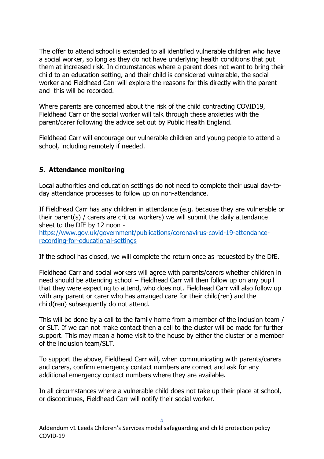The offer to attend school is extended to all identified vulnerable children who have a social worker, so long as they do not have underlying health conditions that put them at increased risk. In circumstances where a parent does not want to bring their child to an education setting, and their child is considered vulnerable, the social worker and Fieldhead Carr will explore the reasons for this directly with the parent and this will be recorded.

Where parents are concerned about the risk of the child contracting COVID19, Fieldhead Carr or the social worker will talk through these anxieties with the parent/carer following the advice set out by Public Health England.

Fieldhead Carr will encourage our vulnerable children and young people to attend a school, including remotely if needed.

#### **5. Attendance monitoring**

Local authorities and education settings do not need to complete their usual day-today attendance processes to follow up on non-attendance.

If Fieldhead Carr has any children in attendance (e.g. because they are vulnerable or their parent(s) / carers are critical workers) we will submit the daily attendance sheet to the DfE by 12 noon -

https://www.gov.uk/government/publications/coronavirus-covid-19-attendancerecording-for-educational-settings

If the school has closed, we will complete the return once as requested by the DfE.

Fieldhead Carr and social workers will agree with parents/carers whether children in need should be attending school – Fieldhead Carr will then follow up on any pupil that they were expecting to attend, who does not. Fieldhead Carr will also follow up with any parent or carer who has arranged care for their child(ren) and the child(ren) subsequently do not attend.

This will be done by a call to the family home from a member of the inclusion team / or SLT. If we can not make contact then a call to the cluster will be made for further support. This may mean a home visit to the house by either the cluster or a member of the inclusion team/SLT.

To support the above, Fieldhead Carr will, when communicating with parents/carers and carers, confirm emergency contact numbers are correct and ask for any additional emergency contact numbers where they are available.

In all circumstances where a vulnerable child does not take up their place at school, or discontinues, Fieldhead Carr will notify their social worker.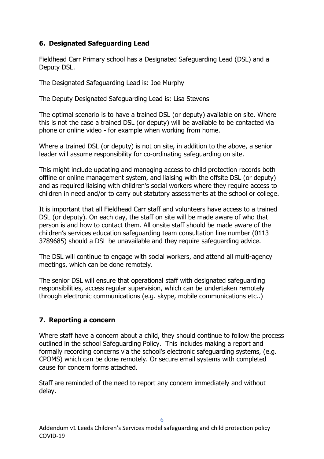## **6. Designated Safeguarding Lead**

Fieldhead Carr Primary school has a Designated Safeguarding Lead (DSL) and a Deputy DSL.

The Designated Safeguarding Lead is: Joe Murphy

The Deputy Designated Safeguarding Lead is: Lisa Stevens

The optimal scenario is to have a trained DSL (or deputy) available on site. Where this is not the case a trained DSL (or deputy) will be available to be contacted via phone or online video - for example when working from home.

Where a trained DSL (or deputy) is not on site, in addition to the above, a senior leader will assume responsibility for co-ordinating safeguarding on site.

This might include updating and managing access to child protection records both offline or online management system, and liaising with the offsite DSL (or deputy) and as required liaising with children's social workers where they require access to children in need and/or to carry out statutory assessments at the school or college.

It is important that all Fieldhead Carr staff and volunteers have access to a trained DSL (or deputy). On each day, the staff on site will be made aware of who that person is and how to contact them. All onsite staff should be made aware of the children's services education safeguarding team consultation line number (0113 3789685) should a DSL be unavailable and they require safeguarding advice.

The DSL will continue to engage with social workers, and attend all multi-agency meetings, which can be done remotely.

The senior DSL will ensure that operational staff with designated safeguarding responsibilities, access regular supervision, which can be undertaken remotely through electronic communications (e.g. skype, mobile communications etc..)

## **7. Reporting a concern**

Where staff have a concern about a child, they should continue to follow the process outlined in the school Safeguarding Policy. This includes making a report and formally recording concerns via the school's electronic safeguarding systems, (e.g. CPOMS) which can be done remotely. Or secure email systems with completed cause for concern forms attached.

Staff are reminded of the need to report any concern immediately and without delay.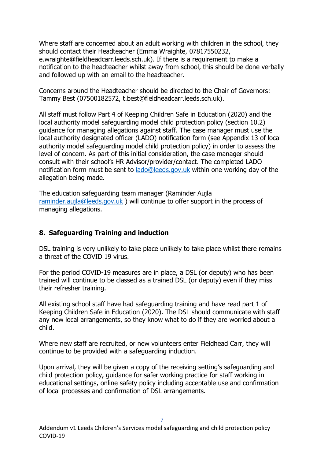Where staff are concerned about an adult working with children in the school, they should contact their Headteacher (Emma Wraighte, 07817550232, e.wraighte@fieldheadcarr.leeds.sch.uk). If there is a requirement to make a notification to the headteacher whilst away from school, this should be done verbally and followed up with an email to the headteacher.

Concerns around the Headteacher should be directed to the Chair of Governors: Tammy Best (07500182572, t.best@fieldheadcarr.leeds.sch.uk).

All staff must follow Part 4 of Keeping Children Safe in Education (2020) and the local authority model safeguarding model child protection policy (section 10.2) guidance for managing allegations against staff. The case manager must use the local authority designated officer (LADO) notification form (see Appendix 13 of local authority model safeguarding model child protection policy) in order to assess the level of concern. As part of this initial consideration, the case manager should consult with their school's HR Advisor/provider/contact. The completed LADO notification form must be sent to lado@leeds.gov.uk within one working day of the allegation being made.

The education safeguarding team manager (Raminder Aujla raminder.aujla@leeds.gov.uk ) will continue to offer support in the process of managing allegations.

#### **8. Safeguarding Training and induction**

DSL training is very unlikely to take place unlikely to take place whilst there remains a threat of the COVID 19 virus.

For the period COVID-19 measures are in place, a DSL (or deputy) who has been trained will continue to be classed as a trained DSL (or deputy) even if they miss their refresher training.

All existing school staff have had safeguarding training and have read part 1 of Keeping Children Safe in Education (2020). The DSL should communicate with staff any new local arrangements, so they know what to do if they are worried about a child.

Where new staff are recruited, or new volunteers enter Fieldhead Carr, they will continue to be provided with a safeguarding induction.

Upon arrival, they will be given a copy of the receiving setting's safeguarding and child protection policy, guidance for safer working practice for staff working in educational settings, online safety policy including acceptable use and confirmation of local processes and confirmation of DSL arrangements.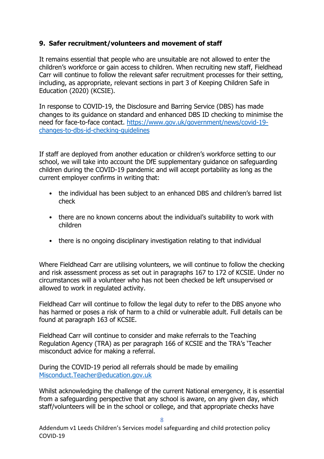#### **9. Safer recruitment/volunteers and movement of staff**

It remains essential that people who are unsuitable are not allowed to enter the children's workforce or gain access to children. When recruiting new staff, Fieldhead Carr will continue to follow the relevant safer recruitment processes for their setting, including, as appropriate, relevant sections in part 3 of Keeping Children Safe in Education (2020) (KCSIE).

In response to COVID-19, the Disclosure and Barring Service (DBS) has made changes to its guidance on standard and enhanced DBS ID checking to minimise the need for face-to-face contact. https://www.gov.uk/government/news/covid-19 changes-to-dbs-id-checking-guidelines

If staff are deployed from another education or children's workforce setting to our school, we will take into account the DfE supplementary guidance on safeguarding children during the COVID-19 pandemic and will accept portability as long as the current employer confirms in writing that:

- the individual has been subject to an enhanced DBS and children's barred list check
- there are no known concerns about the individual's suitability to work with children
- there is no ongoing disciplinary investigation relating to that individual

Where Fieldhead Carr are utilising volunteers, we will continue to follow the checking and risk assessment process as set out in paragraphs 167 to 172 of KCSIE. Under no circumstances will a volunteer who has not been checked be left unsupervised or allowed to work in regulated activity.

Fieldhead Carr will continue to follow the legal duty to refer to the DBS anyone who has harmed or poses a risk of harm to a child or vulnerable adult. Full details can be found at paragraph 163 of KCSIE.

Fieldhead Carr will continue to consider and make referrals to the Teaching Regulation Agency (TRA) as per paragraph 166 of KCSIE and the TRA's 'Teacher misconduct advice for making a referral.

During the COVID-19 period all referrals should be made by emailing Misconduct.Teacher@education.gov.uk

Whilst acknowledging the challenge of the current National emergency, it is essential from a safeguarding perspective that any school is aware, on any given day, which staff/volunteers will be in the school or college, and that appropriate checks have

Addendum v1 Leeds Children's Services model safeguarding and child protection policy COVID-19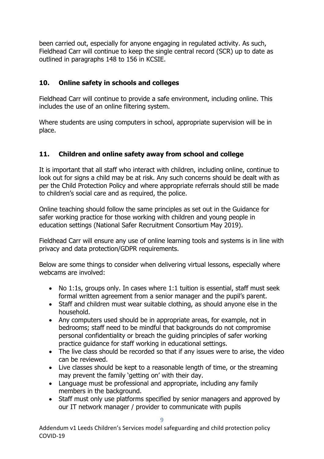been carried out, especially for anyone engaging in regulated activity. As such, Fieldhead Carr will continue to keep the single central record (SCR) up to date as outlined in paragraphs 148 to 156 in KCSIE.

## **10. Online safety in schools and colleges**

Fieldhead Carr will continue to provide a safe environment, including online. This includes the use of an online filtering system.

Where students are using computers in school, appropriate supervision will be in place.

## **11. Children and online safety away from school and college**

It is important that all staff who interact with children, including online, continue to look out for signs a child may be at risk. Any such concerns should be dealt with as per the Child Protection Policy and where appropriate referrals should still be made to children's social care and as required, the police.

Online teaching should follow the same principles as set out in the Guidance for safer working practice for those working with children and young people in education settings (National Safer Recruitment Consortium May 2019).

Fieldhead Carr will ensure any use of online learning tools and systems is in line with privacy and data protection/GDPR requirements.

Below are some things to consider when delivering virtual lessons, especially where webcams are involved:

- No 1:1s, groups only. In cases where 1:1 tuition is essential, staff must seek formal written agreement from a senior manager and the pupil's parent.
- Staff and children must wear suitable clothing, as should anyone else in the household.
- Any computers used should be in appropriate areas, for example, not in bedrooms; staff need to be mindful that backgrounds do not compromise personal confidentiality or breach the guiding principles of safer working practice guidance for staff working in educational settings.
- The live class should be recorded so that if any issues were to arise, the video can be reviewed.
- Live classes should be kept to a reasonable length of time, or the streaming may prevent the family 'getting on' with their day.
- Language must be professional and appropriate, including any family members in the background.
- Staff must only use platforms specified by senior managers and approved by our IT network manager / provider to communicate with pupils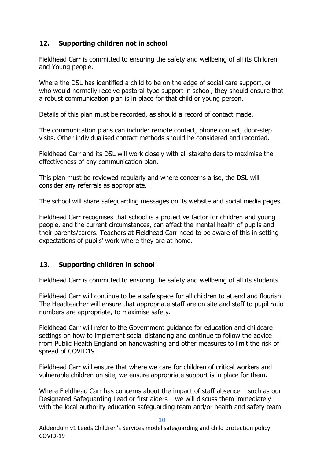## **12. Supporting children not in school**

Fieldhead Carr is committed to ensuring the safety and wellbeing of all its Children and Young people.

Where the DSL has identified a child to be on the edge of social care support, or who would normally receive pastoral-type support in school, they should ensure that a robust communication plan is in place for that child or young person.

Details of this plan must be recorded, as should a record of contact made.

The communication plans can include: remote contact, phone contact, door-step visits. Other individualised contact methods should be considered and recorded.

Fieldhead Carr and its DSL will work closely with all stakeholders to maximise the effectiveness of any communication plan.

This plan must be reviewed regularly and where concerns arise, the DSL will consider any referrals as appropriate.

The school will share safeguarding messages on its website and social media pages.

Fieldhead Carr recognises that school is a protective factor for children and young people, and the current circumstances, can affect the mental health of pupils and their parents/carers. Teachers at Fieldhead Carr need to be aware of this in setting expectations of pupils' work where they are at home.

## **13. Supporting children in school**

Fieldhead Carr is committed to ensuring the safety and wellbeing of all its students.

Fieldhead Carr will continue to be a safe space for all children to attend and flourish. The Headteacher will ensure that appropriate staff are on site and staff to pupil ratio numbers are appropriate, to maximise safety.

Fieldhead Carr will refer to the Government guidance for education and childcare settings on how to implement social distancing and continue to follow the advice from Public Health England on handwashing and other measures to limit the risk of spread of COVID19.

Fieldhead Carr will ensure that where we care for children of critical workers and vulnerable children on site, we ensure appropriate support is in place for them.

Where Fieldhead Carr has concerns about the impact of staff absence – such as our Designated Safeguarding Lead or first aiders – we will discuss them immediately with the local authority education safeguarding team and/or health and safety team.

10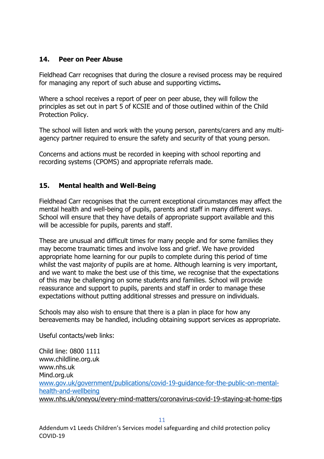#### **14. Peer on Peer Abuse**

Fieldhead Carr recognises that during the closure a revised process may be required for managing any report of such abuse and supporting victims**.** 

Where a school receives a report of peer on peer abuse, they will follow the principles as set out in part 5 of KCSIE and of those outlined within of the Child Protection Policy.

The school will listen and work with the young person, parents/carers and any multiagency partner required to ensure the safety and security of that young person.

Concerns and actions must be recorded in keeping with school reporting and recording systems (CPOMS) and appropriate referrals made.

## **15. Mental health and Well-Being**

Fieldhead Carr recognises that the current exceptional circumstances may affect the mental health and well-being of pupils, parents and staff in many different ways. School will ensure that they have details of appropriate support available and this will be accessible for pupils, parents and staff.

These are unusual and difficult times for many people and for some families they may become traumatic times and involve loss and grief. We have provided appropriate home learning for our pupils to complete during this period of time whilst the vast majority of pupils are at home. Although learning is very important, and we want to make the best use of this time, we recognise that the expectations of this may be challenging on some students and families. School will provide reassurance and support to pupils, parents and staff in order to manage these expectations without putting additional stresses and pressure on individuals.

Schools may also wish to ensure that there is a plan in place for how any bereavements may be handled, including obtaining support services as appropriate.

Useful contacts/web links:

Child line: 0800 1111 www.childline.org.uk www.nhs.uk Mind.org.uk www.gov.uk/government/publications/covid-19-guidance-for-the-public-on-mentalhealth-and-wellbeing www.nhs.uk/oneyou/every-mind-matters/coronavirus-covid-19-staying-at-home-tips